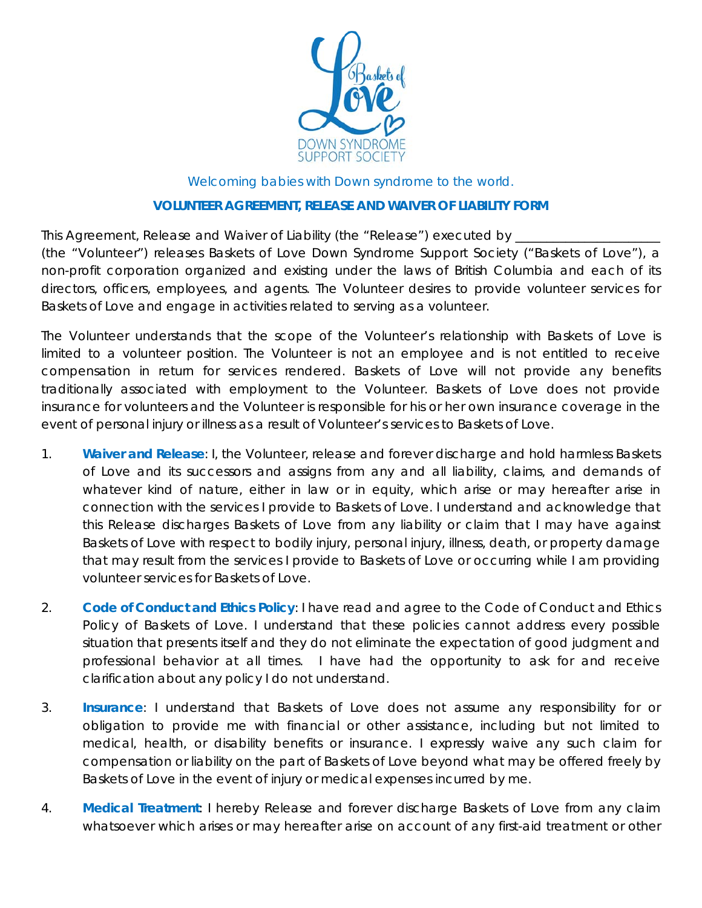

Welcoming babies with Down syndrome to the world.

## **VOLUNTEER AGREEMENT, RELEASE AND WAIVER OF LIABILITY FORM**

This Agreement, Release and Waiver of Liability (the "Release") executed by

(the "Volunteer") releases Baskets of Love Down Syndrome Support Society ("Baskets of Love"), a non-profit corporation organized and existing under the laws of British Columbia and each of its directors, officers, employees, and agents. The Volunteer desires to provide volunteer services for Baskets of Love and engage in activities related to serving as a volunteer.

The Volunteer understands that the scope of the Volunteer's relationship with Baskets of Love is limited to a volunteer position. The Volunteer is not an employee and is not entitled to receive compensation in return for services rendered. Baskets of Love will not provide any benefits traditionally associated with employment to the Volunteer. Baskets of Love does not provide insurance for volunteers and the Volunteer is responsible for his or her own insurance coverage in the event of personal injury or illness as a result of Volunteer's services to Baskets of Love.

- 1. **Waiver and Release**: I, the Volunteer, release and forever discharge and hold harmless Baskets of Love and its successors and assigns from any and all liability, claims, and demands of whatever kind of nature, either in law or in equity, which arise or may hereafter arise in connection with the services I provide to Baskets of Love. I understand and acknowledge that this Release discharges Baskets of Love from any liability or claim that I may have against Baskets of Love with respect to bodily injury, personal injury, illness, death, or property damage that may result from the services I provide to Baskets of Love or occurring while I am providing volunteer services for Baskets of Love.
- 2. **Code of Conduct and Ethics Policy**: I have read and agree to the Code of Conduct and Ethics Policy of Baskets of Love. I understand that these policies cannot address every possible situation that presents itself and they do not eliminate the expectation of good judgment and professional behavior at all times. I have had the opportunity to ask for and receive clarification about any policy I do not understand.
- 3. **Insurance**: I understand that Baskets of Love does not assume any responsibility for or obligation to provide me with financial or other assistance, including but not limited to medical, health, or disability benefits or insurance. I expressly waive any such claim for compensation or liability on the part of Baskets of Love beyond what may be offered freely by Baskets of Love in the event of injury or medical expenses incurred by me.
- 4. **Medical Treatment**: I hereby Release and forever discharge Baskets of Love from any claim whatsoever which arises or may hereafter arise on account of any first-aid treatment or other